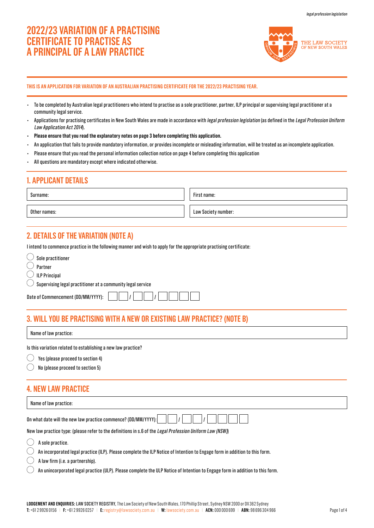# **2022/23 VARIATION OF A PRACTISING CERTIFICATE TO PRACTISE AS A PRINCIPAL OF A LAW PRACTICE**



**THIS IS AN APPLICATION FOR VARIATION OF AN AUSTRALIAN PRACTISING CERTIFICATE FOR THE 2022/23 PRACTISING YEAR.**

- To be completed by Australian legal practitioners who intend to practise as a sole practitioner, partner, ILP principal or supervising legal practitioner at a community legal service.
- Applications for practising certificates in New South Wales are made in accordance with legal profession legislation (as defined in the Legal Profession Uniform Law Application Act 2014).
- **Please ensure that you read the explanatory notes on page 3 before completing this application.**
- An application that fails to provide mandatory information, or provides incomplete or misleading information, will be treated as an incomplete application.
- Please ensure that you read the personal information collection notice on page 4 before completing this application
- All questions are mandatory except where indicated otherwise.

# **1. APPLICANT DETAILS**

Surname:

First name:

Other names: Law Society number: Law Society number:

# **2. DETAILS OF THE VARIATION (NOTE A)**

I intend to commence practice in the following manner and wish to apply for the appropriate practising certificate:

| Sole practitioner                                                      |
|------------------------------------------------------------------------|
| Partner                                                                |
| $\bigcirc$ ILP Principal                                               |
| $\bigcirc$ Supervising legal practitioner at a community legal service |
| Date of Commencement (DD/MM/YYYY):                                     |

# **3. WILL YOU BE PRACTISING WITH A NEW OR EXISTING LAW PRACTICE? (NOTE B)**

Name of law practice:

Is this variation related to establishing a new law practice?

 $\circlearrowright$  Yes (please proceed to section 4)

No (please proceed to section 5)

# **4. NEW LAW PRACTICE**

Name of law practice:

| Name of law practice.                                          |  |  |  |  |  |
|----------------------------------------------------------------|--|--|--|--|--|
|                                                                |  |  |  |  |  |
| On what date will the new law practice commence? (DD/MM/YYYY): |  |  |  |  |  |

New law practice type: (please refer to the definitions in s.6 of the Legal Profession Uniform Law (NSW))

 $\bigcirc$  A sole practice.

An incorporated legal practice (ILP). Please complete the ILP Notice of Intention to Engage form in addition to this form.  $\left(\begin{array}{c} \end{array}\right)$ 

A law firm (i.e. a partnership).

An unincorporated legal practice (ULP). Please complete the ULP Notice of Intention to Engage form in addition to this form.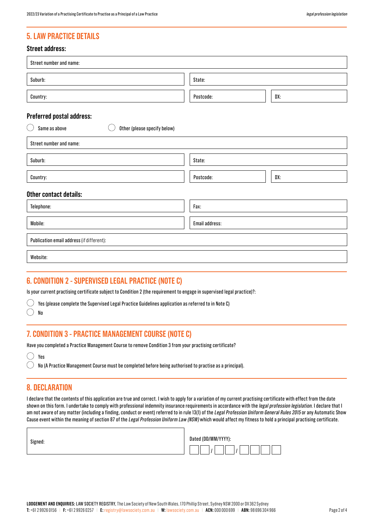# **5. LAW PRACTICE DETAILS**

### **Street address:**

| Street number and name:                                      |                |     |  |  |
|--------------------------------------------------------------|----------------|-----|--|--|
| Suburb:                                                      | State:         |     |  |  |
| Country:                                                     | Postcode:      | DX: |  |  |
| Preferred postal address:                                    |                |     |  |  |
| Same as above<br>Other (please specify below)<br>$(\ )$      |                |     |  |  |
| Street number and name:                                      |                |     |  |  |
| Suburb:                                                      | State:         |     |  |  |
| Country:                                                     | Postcode:      | DX: |  |  |
| Other contact details:                                       |                |     |  |  |
| Telephone:                                                   | Fax:           |     |  |  |
| Mobile:                                                      | Email address: |     |  |  |
| Publication email address (if different):                    |                |     |  |  |
| Website:                                                     |                |     |  |  |
| <b>C. CAUBITIAU A.</b><br>AUBERVIAER LEAST BRAATIAE (MATE AV |                |     |  |  |

### **6. CONDITION 2 - SUPERVISED LEGAL PRACTICE (NOTE C)**

Is your current practising certificate subject to Condition 2 (the requirement to engage in supervised legal practice)?:

 $\bigcirc$  Yes (please complete the Supervised Legal Practice Guidelines application as referred to in Note C)

 $\bigcirc$ No

# **7. CONDITION 3 - PRACTICE MANAGEMENT COURSE (NOTE C)**

Have you completed a Practice Management Course to remove Condition 3 from your practising certificate?

| ı<br>μç |
|---------|
|         |

 $\bigcirc$  No (A Practice Management Course must be completed before being authorised to practise as a principal).

# **8. DECLARATION**

I declare that the contents of this application are true and correct. I wish to apply for a variation of my current practising certificate with effect from the date shown on this form. I undertake to comply with professional indemnity insurance requirements in accordance with the legal profession legislation. I declare that I am not aware of any matter (including a finding, conduct or event) referred to in rule 13(1) of the Legal Profession Uniform General Rules 2015 or any Automatic Show Cause event within the meaning of section 87 of the Legal Profession Uniform Law (NSW) which would affect my fitness to hold a principal practising certificate.

| Signed: | Dated (DD/MM/YYYY): |  |  |  |  |  |  |
|---------|---------------------|--|--|--|--|--|--|
|         |                     |  |  |  |  |  |  |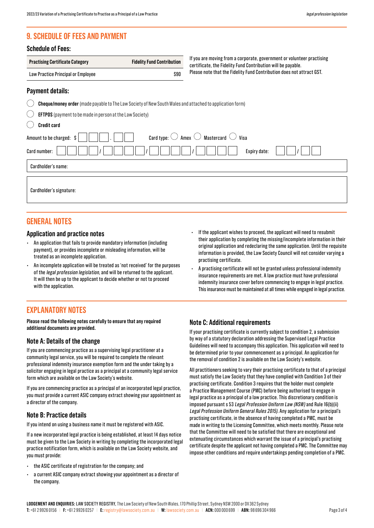# **9. SCHEDULE OF FEES AND PAYMENT**

### **Schedule of Fees:**

| <b>Practising Certificate Category</b> | <b>Fidelity Fund Contribution</b> |
|----------------------------------------|-----------------------------------|
| Law Practice Principal or Employee     | \$90                              |

If you are moving from a corporate, government or volunteer practising certificate, the Fidelity Fund Contribution will be payable. Please note that the Fidelity Fund Contribution does not attract GST.

### **Payment details:**

|  | <b>Cheque/money order</b> (made payable to The Law Society of New South Wales and attached to application form) |
|--|-----------------------------------------------------------------------------------------------------------------|
|  |                                                                                                                 |

|  |  |  |  | $\mathcal{L}$ EFTPOS (payment to be made in person at the Law Society) |
|--|--|--|--|------------------------------------------------------------------------|
|--|--|--|--|------------------------------------------------------------------------|

| Credit card |  |
|-------------|--|
|             |  |
|             |  |

| $\sim$ $\sim$ $\sim$ $\sim$ $\sim$ $\sim$ $\sim$                                                    |
|-----------------------------------------------------------------------------------------------------|
| Card type: $\bigcirc$ Amex $\bigcirc$ Mastercard $\bigcirc$ Visa<br>Amount to be charged: $\vert \$ |
| Expiry date:<br>Card number:                                                                        |
| Cardholder's name:                                                                                  |
| Cardholder's signature:                                                                             |

### **GENERAL NOTES**

### **Application and practice notes**

- An application that fails to provide mandatory information (including payment), or provides incomplete or misleading information, will be treated as an incomplete application.
- An incomplete application will be treated as 'not received' for the purposes of the legal profession legislation, and will be returned to the applicant. It will then be up to the applicant to decide whether or not to proceed with the application.

# **EXPLANATORY NOTES**

**Please read the following notes carefully to ensure that any required additional documents are provided.**

### **Note A: Details of the change**

If you are commencing practice as a supervising legal practitioner at a community legal service, you will be required to complete the relevant professional indemnity insurance exemption form and the under taking by a solicitor engaging in legal practice as a principal at a community legal service form which are available on the Law Society's website.

If you are commencing practice as a principal of an incorporated legal practice, you must provide a current ASIC company extract showing your appointment as a director of the company.

### **Note B: Practice details**

If you intend on using a business name it must be registered with ASIC.

If a new incorporated legal practice is being established, at least 14 days notice must be given to the Law Society in writing by completing the incorporated legal practice notification form, which is available on the Law Society website, and you must provide:

- the ASIC certificate of registration for the company; and
- a current ASIC company extract showing your appointment as a director of the company.
- If the applicant wishes to proceed, the applicant will need to resubmit their application by completing the missing/incomplete information in their original application and redeclaring the same application. Until the requisite information is provided, the Law Society Council will not consider varying a practising certificate.
- A practising certificate will not be granted unless professional indemnity insurance requirements are met. A law practice must have professional indemnity insurance cover before commencing to engage in legal practice. This insurance must be maintained at all times while engaged in legal practice.

### **Note C: Additional requirements**

If your practising certificate is currently subject to condition 2, a submission by way of a statutory declaration addressing the Supervised Legal Practice Guidelines will need to accompany this application. This application will need to be determined prior to your commencement as a principal. An application for the removal of condition 2 is available on the Law Society's website.

All practitioners seeking to vary their practising certificate to that of a principal must satisfy the Law Society that they have complied with Condition 3 of their practising certificate. Condition 3 requires that the holder must complete a Practice Management Course (PMC) before being authorised to engage in legal practice as a principal of a law practice. This discretionary condition is imposed pursuant s 53 Legal Profession Uniform Law (NSW) and Rule 16(b)(ii) Legal Profession Uniform General Rules 2015). Any application for a principal's practising certificate, in the absence of having completed a PMC, must be made in writing to the Licensing Committee, which meets monthly. Please note that the Committee will need to be satisfied that there are exceptional and extenuating circumstances which warrant the issue of a principal's practising certificate despite the applicant not having completed a PMC. The Committee may impose other conditions and require undertakings pending completion of a PMC.